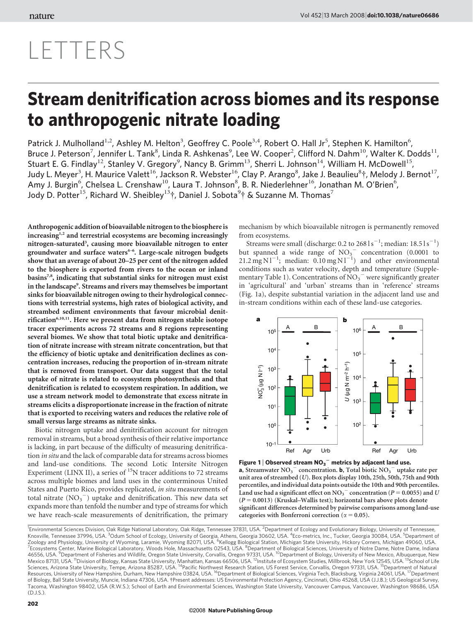# LETTERS

## Stream denitrification across biomes and its response to anthropogenic nitrate loading

Patrick J. Mulholland<sup>1,2</sup>, Ashley M. Helton<sup>3</sup>, Geoffrey C. Poole<sup>3,4</sup>, Robert O. Hall Jr<sup>5</sup>, Stephen K. Hamilton<sup>6</sup>, Bruce J. Peterson<sup>7</sup>, Jennifer L. Tank<sup>8</sup>, Linda R. Ashkenas<sup>9</sup>, Lee W. Cooper<sup>2</sup>, Clifford N. Dahm<sup>10</sup>, Walter K. Dodds<sup>11</sup>, Stuart E. G. Findlay<sup>12</sup>, Stanley V. Gregory<sup>9</sup>, Nancy B. Grimm<sup>13</sup>, Sherri L. Johnson<sup>14</sup>, William H. McDowell<sup>15</sup>, Judy L. Meyer<sup>3</sup>, H. Maurice Valett<sup>16</sup>, Jackson R. Webster<sup>16</sup>, Clay P. Arango<sup>8</sup>, Jake J. Beaulieu<sup>8</sup>†, Melody J. Bernot<sup>17</sup>, Amy J. Burgin<sup>6</sup>, Chelsea L. Crenshaw<sup>10</sup>, Laura T. Johnson<sup>8</sup>, B. R. Niederlehner<sup>16</sup>, Jonathan M. O'Brien<sup>6</sup>, Jody D. Potter<sup>15</sup>, Richard W. Sheibley<sup>13</sup>†, Daniel J. Sobota<sup>9</sup>† & Suzanne M. Thomas<sup>7</sup>

Anthropogenic addition of bioavailable nitrogen to the biosphereis increasing<sup>1,2</sup> and terrestrial ecosystems are becoming increasingly nitrogen-saturated<sup>3</sup>, causing more bioavailable nitrogen to enter groundwater and surface waters $4-6$ . Large-scale nitrogen budgets show that an average of about 20–25 per cent of the nitrogen added to the biosphere is exported from rivers to the ocean or inland basins<sup>7,8</sup>, indicating that substantial sinks for nitrogen must exist in the landscape<sup>9</sup>. Streams and rivers may themselves be important sinks for bioavailable nitrogen owing to their hydrological connections with terrestrial systems, high rates of biological activity, and streambed sediment environments that favour microbial denitrification<sup>6,10,11</sup>. Here we present data from nitrogen stable isotope tracer experiments across 72 streams and 8 regions representing several biomes. We show that total biotic uptake and denitrification of nitrate increase with stream nitrate concentration, but that the efficiency of biotic uptake and denitrification declines as concentration increases, reducing the proportion of in-stream nitrate that is removed from transport. Our data suggest that the total uptake of nitrate is related to ecosystem photosynthesis and that denitrification is related to ecosystem respiration. In addition, we use a stream network model to demonstrate that excess nitrate in streams elicits a disproportionate increase in the fraction of nitrate that is exported to receiving waters and reduces the relative role of small versus large streams as nitrate sinks.

Biotic nitrogen uptake and denitrification account for nitrogen removal in streams, but a broad synthesis of their relative importance is lacking, in part because of the difficulty of measuring denitrification in situ and the lack of comparable data for streams across biomes and land-use conditions. The second Lotic Intersite Nitrogen Experiment (LINX II), a series of  $^{15}N$  tracer additions to 72 streams across multiple biomes and land uses in the conterminous United States and Puerto Rico, provides replicated, in situ measurements of total nitrate  $(NO<sub>3</sub><sup>-</sup>)$  uptake and denitrification. This new data set expands more than tenfold the number and type of streams for which we have reach-scale measurements of denitrification, the primary mechanism by which bioavailable nitrogen is permanently removed from ecosystems.

Streams were small (discharge: 0.2 to  $2681s^{-1}$ ; median:  $18.51s^{-1}$ ) but spanned a wide range of  $NO<sub>3</sub>$  concentration (0.0001 to 21.2 mg N  $1^{-1}$ ; median: 0.10 mg N  $1^{-1}$ ) and other environmental conditions such as water velocity, depth and temperature (Supplementary Table 1). Concentrations of  $\overline{NO_3}^-$  were significantly greater in 'agricultural' and 'urban' streams than in 'reference' streams (Fig. 1a), despite substantial variation in the adjacent land use and in-stream conditions within each of these land-use categories.



Figure 1 | Observed stream  $NO_3^-$  metrics by adjacent land use. a, Streamwater  $NO_3^-$  concentration. **b**, Total biotic  $NO_3^-$  uptake rate per unit area of streambed (U). Box plots display 10th, 25th, 50th, 75th and 90th percentiles, and individual data points outside the 10th and 90th percentiles. Land use had a significant effect on NO<sub>3</sub><sup>-</sup> concentration ( $P = 0.0055$ ) and U  $(P = 0.0013)$  (Kruskal–Wallis test); horizontal bars above plots denote significant differences determined by pairwise comparisons among land-use categories with Bonferroni correction ( $\alpha = 0.05$ ).

<sup>1</sup>Environmental Sciences Division, Oak Ridge National Laboratory, Oak Ridge, Tennessee 37831, USA. <sup>2</sup>Department of Ecology and Evolutionary Biology, University of Tennessee, Knoxville, Tennessee 37996, USA. <sup>3</sup>Odum School of Ecology, University of Georgia, Athens, Georgia 30602, USA. <sup>4</sup>Eco-metrics, Inc., Tucker, Georgia 30084, USA. <sup>5</sup>Department of Zoology and Physiology, University of Wyoming, Laramie, Wyoming 82071, USA. <sup>6</sup>Kellogg Biological Station, Michigan State University, Hickory Corners, Michigan 49060, USA. 7 Corners, Michigan 49060, USA. 7 Corners, Michiga Ecosystems Center, Marine Biological Laboratory, Woods Hole, Massachusetts 02543, USA. <sup>8</sup>Department of Biological Sciences, University of Notre Dame, Notre Dame, Indiana 46556, USA. <sup>9</sup>Department of Fisheries and Wildlife, Oregon State University, Corvallis, Oregon 97331, USA. <sup>10</sup>Department of Biology, University of New Mexico, Albuquerque, New<br>Mexico 87131, USA. <sup>11</sup>Division of Biology, Resources, University of New Hampshire, Durham, New Hampshire 03824, USA. <sup>16</sup>Department of Biological Sciences, Virginia Tech, Blacksburg, Virginia 24061, USA. <sup>17</sup>Department of Biology, Ball State University, Muncie, Indiana 47306, USA. {Present addresses: US Environmental Protection Agency, Cincinnati, Ohio 45268, USA (J.J.B.); US Geological Survey, Tacoma, Washington 98402, USA (R.W.S.); School of Earth and Environmental Sciences, Washington State University, Vancouver Campus, Vancouver, Washington 98686, USA (D.J.S.).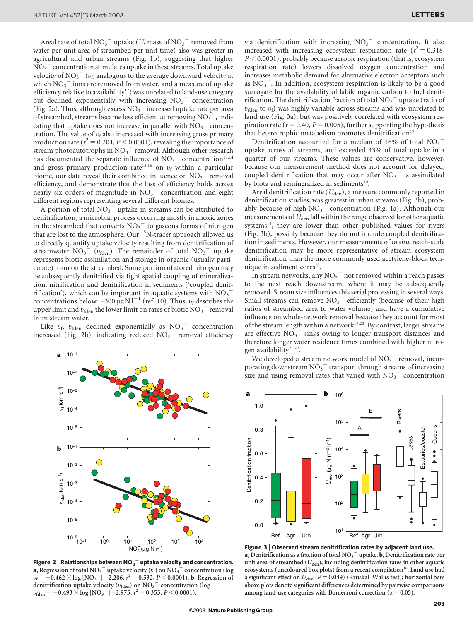Areal rate of total  $\mathrm{NO_3}^-$  uptake (  $U\!$  mass of  $\mathrm{NO_3}^-$  removed from water per unit area of streambed per unit time) also was greater in agricultural and urban streams (Fig. 1b), suggesting that higher  $\overline{{\rm NO}_3}^-$  concentration stimulates uptake in these streams. Total uptake velocity of  $\text{NO}_3^-$  ( $v_\text{f}$ , analogous to the average downward velocity at which  $\mathrm{NO_3}^-$  ions are removed from water, and a measure of uptake efficiency relative to availability<sup>12</sup>) was unrelated to land-use category but declined exponentially with increasing  $NO_3$ <sup>-</sup> concentration (Fig. 2a). Thus, although excess  $\mathrm{NO_3}^-$  increased uptake rate per area of streambed, streams became less efficient at removing  $NO_3^-$ , indicating that uptake does not increase in parallel with  $\overline{\text{NO}_3}^-$  concentration. The value of  $v_f$  also increased with increasing gross primary production rate ( $r^2 = 0.204$ ,  $P < 0.0001$ ), revealing the importance of stream photoautotrophs in  $NO<sub>3</sub><sup>-</sup>$  removal. Although other research has documented the separate influence of  $NO<sub>3</sub><sup>-</sup>$  concentration<sup>13,14</sup> and gross primary production rate<sup>15,16</sup> on  $v_f$  within a particular biome, our data reveal their combined influence on  $NO<sub>3</sub><sup>-</sup>$  removal efficiency, and demonstrate that the loss of efficiency holds across nearly six orders of magnitude in  $NO_3$ <sup>-</sup> concentration and eight different regions representing several different biomes.

A portion of total  $NO_3$ <sup>-</sup> uptake in streams can be attributed to denitrification, a microbial process occurring mostly in anoxic zones in the streambed that converts  $NO<sub>3</sub>$  to gaseous forms of nitrogen that are lost to the atmosphere. Our <sup>15</sup>N-tracer approach allowed us to directly quantify uptake velocity resulting from denitrification of streamwater  $NO<sub>3</sub><sup>-</sup>$  ( $v<sub>fden</sub>$ ). The remainder of total  $NO<sub>3</sub><sup>-</sup>$  uptake represents biotic assimilation and storage in organic (usually particulate) form on the streambed. Some portion of stored nitrogen may be subsequently denitrified via tight spatial coupling of mineralization, nitrification and denitrification in sediments ('coupled denitrification'), which can be important in aquatic systems with  $NO_3^$ concentrations below  $\sim$  300 µg Nl<sup>-1</sup> (ref. 10). Thus,  $v_f$  describes the upper limit and  $v_{\text{fden}}$  the lower limit on rates of biotic  $NO_3$ <sup>-</sup> removal from stream water.

Like  $v_{\rm fb}$   $v_{\rm fden}$  declined exponentially as  $\text{NO}_3$ <sup>-</sup> concentration increased (Fig. 2b), indicating reduced  $NO<sub>3</sub>$ <sup>-</sup> removal efficiency



Figure 2 | Relationships between  $\mathsf{NO_3}^-$  uptake velocity and concentration. **a**, Regression of total NO<sub>3</sub><sup> $-$ </sup> uptake velocity ( $v_f$ ) on NO<sub>3</sub><sup> $-$ </sup> concentration (log  $v_f = -0.462 \times \log [NO_3^-] - 2.206, r^2 = 0.532, P < 0.0001)$ . b, Regression of denitrification uptake velocity ( $v_{\text{fden}}$ ) on NO<sub>3</sub><sup>-</sup> concentration (log  $v_{\text{fden}} = -0.493 \times \log \left[ \text{NO}_3 \right] - 2.975, r^2 = 0.355, P \le 0.0001$ ).

via denitrification with increasing  $NO<sub>3</sub><sup>-</sup>$  concentration. It also increased with increasing ecosystem respiration rate  $(r^2 = 0.318,$  $P < 0.0001$ ), probably because aerobic respiration (that is, ecosystem respiration rate) lowers dissolved oxygen concentration and increases metabolic demand for alternative electron acceptors such as  $NO<sub>3</sub><sup>-</sup>$ . In addition, ecosystem respiration is likely to be a good surrogate for the availability of labile organic carbon to fuel denitrification. The denitrification fraction of total  $\mathrm{NO_3}^-$  uptake (ratio of  $v_{\text{fden}}$  to  $v_f$ ) was highly variable across streams and was unrelated to land use (Fig. 3a), but was positively correlated with ecosystem respiration rate ( $r = 0.40$ ,  $P = 0.005$ ), further supporting the hypothesis that heterotrophic metabolism promotes denitrification<sup>17</sup>.

Denitrification accounted for a median of 16% of total  $NO_3$ <sup>-</sup> uptake across all streams, and exceeded 43% of total uptake in a quarter of our streams. These values are conservative, however, because our measurement method does not account for delayed, coupled denitrification that may occur after  $NO<sub>3</sub><sup>-</sup>$  is assimilated by biota and remineralized in sediments<sup>10</sup>.

Areal denitrification rate  $(U_{den})$ , a measure commonly reported in denitrification studies, was greatest in urban streams (Fig. 3b), probably because of high  $NO<sub>3</sub>$ <sup> $\sim$ </sup> concentration (Fig. 1a). Although our measurements of  $U_{\text{den}}$  fall within the range observed for other aquatic systems<sup>18</sup>, they are lower than other published values for rivers (Fig. 3b), possibly because they do not include coupled denitrification in sediments. However, our measurements of in situ, reach-scale denitrification may be more representative of stream ecosystem denitrification than the more commonly used acetylene-block technique in sediment cores<sup>18</sup>.

In stream networks, any  $\mathrm{NO_3}^-$  not removed within a reach passes to the next reach downstream, where it may be subsequently removed. Stream size influences this serial processing in several ways. Small streams can remove  $NO<sub>3</sub><sup>-</sup>$  efficiently (because of their high ratios of streambed area to water volume) and have a cumulative influence on whole-network removal because they account for most of the stream length within a network<sup>19,20</sup>. By contrast, larger streams are effective  $NO<sub>3</sub><sup>-</sup>$  sinks owing to longer transport distances and therefore longer water residence times combined with higher nitrogen availability<sup>21,22</sup>.

We developed a stream network model of  $\mathrm{NO_3}^-$  removal, incorporating downstream  $\mathrm{NO_3}^-$  transport through streams of increasing size and using removal rates that varied with  $NO<sub>3</sub>^-$  concentration



Figure 3 <sup>|</sup> Observed stream denitrification rates by adjacent land use. **a**, Denitrification as a fraction of total  $NO<sub>3</sub><sup>-</sup>$  uptake. **b**, Denitrification rate per unit area of streambed  $(U_{den})$ , including denitrification rates in other aquatic ecosystems (uncoloured box plots) from a recent compilation<sup>18</sup>. Land use had a significant effect on  $U_{den}$  ( $P = 0.049$ ) (Kruskal–Wallis test); horizontal bars above plots denote significant differences determined by pairwise comparisons among land-use categories with Bonferroni correction ( $\alpha = 0.05$ ).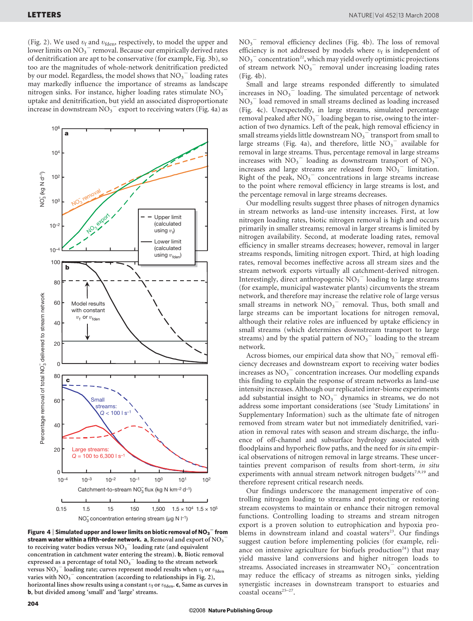(Fig. 2). We used  $v_f$  and  $v_{\text{fden}}$ , respectively, to model the upper and lower limits on  $NO_3$ <sup>-</sup> removal. Because our empirically derived rates of denitrification are apt to be conservative (for example, Fig. 3b), so too are the magnitudes of whole-network denitrification predicted by our model. Regardless, the model shows that  $NO<sub>3</sub><sup>-</sup>$  loading rates may markedly influence the importance of streams as landscape nitrogen sinks. For instance, higher loading rates stimulate  $NO<sub>3</sub>$ uptake and denitrification, but yield an associated disproportionate increase in downstream  $NO_3$ <sup>-</sup> export to receiving waters (Fig. 4a) as



Figure 4  $\mid$  Simulated upper and lower limits on biotic removal of NO<sub>3</sub>  $^-$  from stream water within a fifth-order network. a, Removal and export of NO<sub>3</sub> to receiving water bodies versus  $\mathrm{NO_3}^-$  loading rate (and equivalent concentration in catchment water entering the stream). b, Biotic removal expressed as a percentage of total  $\mathrm{NO_3}^-$  loading to the stream network versus  $NO<sub>3</sub><sup>-</sup>$  loading rate; curves represent model results when  $v<sub>f</sub>$  or  $v<sub>fden</sub>$ varies with  $NO<sub>3</sub><sup>-</sup>$  concentration (according to relationships in Fig. 2), horizontal lines show results using a constant  $v_f$  or  $v_{\text{fden}}$ . c, Same as curves in b, but divided among 'small' and 'large' streams.

NO3 <sup>2</sup> removal efficiency declines (Fig. 4b). The loss of removal efficiency is not addressed by models where  $v_f$  is independent of  $NO<sub>3</sub><sup>-</sup> concentration<sup>22</sup>, which may yield overly optimistic projections$ of stream network  $NO<sub>3</sub><sup>-</sup>$  removal under increasing loading rates (Fig. 4b).

Small and large streams responded differently to simulated increases in  $NO<sub>3</sub>$ <sup> $=$ </sup> loading. The simulated percentage of network NO3 <sup>2</sup> load removed in small streams declined as loading increased (Fig. 4c). Unexpectedly, in large streams, simulated percentage removal peaked after  $NO_3^-$  loading began to rise, owing to the interaction of two dynamics. Left of the peak, high removal efficiency in small streams yields little downstream  $\mathrm{NO_3}^{-}$  transport from small to large streams (Fig. 4a), and therefore, little  $NO_3$ <sup>-</sup> available for removal in large streams. Thus, percentage removal in large streams increases with  $NO<sub>3</sub><sup>-</sup>$  loading as downstream transport of  $NO<sub>3</sub>$ increases and large streams are released from  $\overline{NO_3}^-$  limitation. Right of the peak,  $NO<sub>3</sub><sup>-</sup>$  concentrations in large streams increase to the point where removal efficiency in large streams is lost, and the percentage removal in large streams decreases.

Our modelling results suggest three phases of nitrogen dynamics in stream networks as land-use intensity increases. First, at low nitrogen loading rates, biotic nitrogen removal is high and occurs primarily in smaller streams; removal in larger streams is limited by nitrogen availability. Second, at moderate loading rates, removal efficiency in smaller streams decreases; however, removal in larger streams responds, limiting nitrogen export. Third, at high loading rates, removal becomes ineffective across all stream sizes and the stream network exports virtually all catchment-derived nitrogen. Interestingly, direct anthropogenic NO<sub>3</sub><sup>-</sup> loading to large streams (for example, municipal wastewater plants) circumvents the stream network, and therefore may increase the relative role of large versus small streams in network  $NO<sub>3</sub><sup>-</sup>$  removal. Thus, both small and large streams can be important locations for nitrogen removal, although their relative roles are influenced by uptake efficiency in small streams (which determines downstream transport to large streams) and by the spatial pattern of  $NO<sub>3</sub><sup>-</sup>$  loading to the stream network.

Across biomes, our empirical data show that  $\mathrm{NO_3}^-$  removal efficiency decreases and downstream export to receiving water bodies increases as NO<sub>3</sub><sup>-</sup> concentration increases. Our modelling expands this finding to explain the response of stream networks as land-use intensity increases. Although our replicated inter-biome experiments add substantial insight to  $NO<sub>3</sub><sup>-</sup>$  dynamics in streams, we do not address some important considerations (see 'Study Limitations' in Supplementary Information) such as the ultimate fate of nitrogen removed from stream water but not immediately denitrified, variation in removal rates with season and stream discharge, the influence of off-channel and subsurface hydrology associated with floodplains and hyporheic flow paths, and the need for in situ empirical observations of nitrogen removal in large streams. These uncertainties prevent comparison of results from short-term, in situ experiments with annual stream network nitrogen budgets<sup>7,9,19</sup> and therefore represent critical research needs.

Our findings underscore the management imperative of controlling nitrogen loading to streams and protecting or restoring stream ecosystems to maintain or enhance their nitrogen removal functions. Controlling loading to streams and stream nitrogen export is a proven solution to eutrophication and hypoxia problems in downstream inland and coastal waters<sup>23</sup>. Our findings suggest caution before implementing policies (for example, reliance on intensive agriculture for biofuels production<sup>24</sup>) that may yield massive land conversions and higher nitrogen loads to streams. Associated increases in streamwater  $NO<sub>3</sub>$ <sup>-</sup> concentration may reduce the efficacy of streams as nitrogen sinks, yielding synergistic increases in downstream transport to estuaries and coastal oceans<sup>25-27</sup>.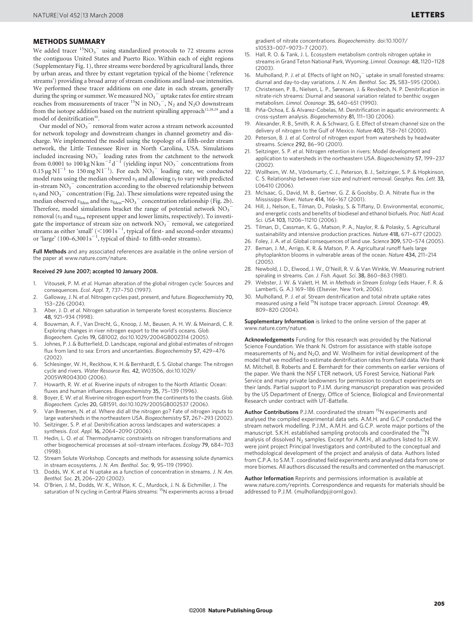### METHODS SUMMARY

We added tracer  $\mathrm{^{15}NO_{3}}^{-}$  using standardized protocols to 72 streams across the contiguous United States and Puerto Rico. Within each of eight regions (Supplementary Fig. 1), three streams were bordered by agricultural lands, three by urban areas, and three by extant vegetation typical of the biome ('reference streams') providing a broad array of stream conditions and land-use intensities. We performed these tracer additions on one date in each stream, generally during the spring or summer. We measured  $\text{NO}_3$ <sup>-</sup> uptake rates for entire stream reaches from measurements of tracer  ${}^{15}N$  in  $NO_3^-$ ,  $N_2$  and  $N_2O$  downstream from the isotope addition based on the nutrient spiralling approach<sup>12,28,29</sup> and a model of denitrification<sup>30</sup>.

Our model of  $\mathrm{NO_3}^-$  removal from water across a stream network accounted for network topology and downstream changes in channel geometry and discharge. We implemented the model using the topology of a fifth-order stream network, the Little Tennessee River in North Carolina, USA. Simulations included increasing  $NO<sub>3</sub><sup>-</sup>$  loading rates from the catchment to the network from 0.0001 to 100 kg N km<sup>-2</sup> d<sup>-1</sup> (yielding input NO<sub>3</sub><sup>-</sup> concentrations from  $0.15 \,\mathrm{\upmu g}\,\mathrm{N}\,\mathrm{l}^{-1}$  to  $150 \,\mathrm{mg}\,\mathrm{N}\,\mathrm{l}^{-1}$ ). For each  $\mathrm{NO_3}^-$  loading rate, we conducted model runs using the median observed  $v_{\rm f}$  and allowing  $v_{\rm f}$  to vary with predicted in-stream  $\mathrm{NO_3}^-$  concentration according to the observed relationship between  $v_f$  and NO<sub>3</sub><sup> $-$ </sup> concentration (Fig. 2a). These simulations were repeated using the median observed  $v_{\text{fden}}$  and the  $v_{\text{fden}}$ -NO<sub>3</sub> concentration relationship (Fig. 2b). Therefore, model simulations bracket the range of potential network  $\mathrm{NO_3}^$ removal ( $v_f$  and  $v_{\text{fden}}$  represent upper and lower limits, respectively). To investigate the importance of stream size on network  $\mathrm{NO_3}^-$  removal, we categorized streams as either 'small'  $(<$ 100 l s<sup>-1</sup>, typical of first- and second-order streams) or 'large'  $(100-6,3001s^{-1}$ , typical of third- to fifth-order streams).

Full Methods and any associated references are available in the online version of the paper at<www.nature.com/nature>.

#### Received 29 June 2007; accepted 10 January 2008.

- 1. Vitousek, P. M. et al. Human alteration of the global nitrogen cycle: Sources and consequences. Ecol. Appl. 7, 737–750 (1997).
- 2. Galloway, J. N. et al. Nitrogen cycles past, present, and future. Biogeochemistry 70, 153–226 (2004).
- 3. Aber, J. D. et al. Nitrogen saturation in temperate forest ecosystems. Bioscience 48, 921–934 (1998).
- 4. Bouwman, A. F., Van Drecht, G., Knoop, J. M., Beusen, A. H. W. & Meinardi, C. R. Exploring changes in river nitrogen export to the world's oceans. Glob. Biogeochem. Cycles 19, GB1002, doi:10.1029/2004GB002314 (2005).
- 5. Johnes, P. J. & Butterfield, D. Landscape, regional and global estimates of nitrogen flux from land to sea: Errors and uncertainties. Biogeochemistry 57, 429–476 (2002).
- 6. Schlesinger, W. H., Reckhow, K. H. & Bernhardt, E. S. Global change: The nitrogen cycle and rivers. Water Resource Res. 42, W03S06, doi:10.1029/ 2005WR004300 (2006).
- 7. Howarth, R. W. et al. Riverine inputs of nitrogen to the North Atlantic Ocean: fluxes and human influences. Biogeochemistry 35, 75–139 (1996).
- 8. Boyer, E. W. et al. Riverine nitrogen export from the continents to the coasts. Glob. Biogeochem. Cycles 20, GB1S91, doi:10.1029/2005GB002537 (2006).
- 9. Van Breemen, N. et al. Where did all the nitrogen go? Fate of nitrogen inputs to large watersheds in the northeastern USA. Biogeochemistry 57, 267–293 (2002).
- 10. Seitzinger, S. P. et al. Denitrification across landscapes and waterscapes: a synthesis. Ecol. Appl. 16, 2064–2090 (2006).
- 11. Hedin, L. O. et al. Thermodynamic constraints on nitrogen transformations and other biogeochemical processes at soil–stream interfaces. Ecology 79, 684–703 (1998).
- 12. Stream Solute Workshop. Concepts and methods for assessing solute dynamics in stream ecosystems. J. N. Am. Benthol. Soc. 9, 95–119 (1990).
- 13. Dodds, W. K. et al. N uptake as a function of concentration in streams. J. N. Am. Benthol. Soc. 21, 206–220 (2002).
- 14. O'Brien, J. M., Dodds, W. K., Wilson, K. C., Murdock, J. N. & Eichmiller, J. The saturation of N cycling in Central Plains streams: <sup>15</sup>N experiments across a broad

gradient of nitrate concentrations. Biogeochemistry. doi:10.1007/ s10533–007–9073–7 (2007).

- 15. Hall, R. O. & Tank, J. L. Ecosystem metabolism controls nitrogen uptake in streams in Grand Teton National Park, Wyoming. Limnol. Oceanogr. 48,1120–1128 (2003).
- 16. Mulholland, P. J. et al. Effects of light on  $NO_3^-$  uptake in small forested streams: diurnal and day-to-day variations. J. N. Am. Benthol. Soc. 25, 583–595 (2006).
- 17. Christensen, P. B., Nielsen, L. P., Sørensen, J. & Revsbech, N. P. Denitrification in nitrate-rich streams: Diurnal and seasonal variation related to benthic oxygen metabolism. Limnol. Oceanogr. 35, 640–651 (1990).
- 18. Piña-Ochoa, E. & Alvarez-Cobelas, M. Denitrification in aquatic environments: A cross-system analysis. Biogeochemistry 81, 111–130 (2006).
- 19. Alexander, R. B., Smith, R. A. & Schwarz, G. E. Effect of stream channel size on the delivery of nitrogen to the Gulf of Mexico. Nature 403, 758–761 (2000).
- 20. Peterson, B. J. et al. Control of nitrogen export from watersheds by headwater streams. Science 292, 86–90 (2001).
- 21. Seitzinger, S. P. et al. Nitrogen retention in rivers: Model development and application to watersheds in the northeastern USA. Biogeochemistry 57, 199–237 (2002).
- 22. Wollheim, W. M., Vörösmarty, C. J., Peterson, B. J., Seitzinger, S. P. & Hopkinson, C. S. Relationship between river size and nutrient removal. Geophys. Res. Lett. 33, L06410 (2006).
- 23. McIsaac, G., David, M. B., Gertner, G. Z. & Goolsby, D. A. Nitrate flux in the Mississippi River. Nature 414, 166–167 (2001).
- 24. Hill, J., Nelson, E., Tilman, D., Polasky, S. & Tiffany, D. Environmental, economic, and energetic costs and benefits of biodiesel and ethanol biofuels. Proc. Natl Acad. Sci. USA 103, 11206–11210 (2006).
- 25. Tilman, D., Cassman, K. G., Matson, P. A., Naylor, R. & Polasky, S. Agricultural sustainability and intensive production practices. Nature 418, 671–677 (2002).
- 26. Foley, J. A. et al. Global consequences of land use. Science 309, 570–574 (2005). 27. Beman, J. M., Arrigo, K. R. & Matson, P. A. Agricultural runoff fuels large
- phytoplankton blooms in vulnerable areas of the ocean. Nature 434, 211–214  $(2005)$
- 28. Newbold, J. D., Elwood, J. W., O'Neill, R. V. & Van Winkle, W. Measuring nutrient spiraling in streams. Can. J. Fish. Aquat. Sci. 38, 860–863 (1981).
- 29. Webster, J. W. & Valett, H. M. in Methods in Stream Ecology (eds Hauer, F. R. & Lamberti, G. A.) 169–186 (Elsevier, New York, 2006).
- 30. Mulholland, P. J. et al. Stream denitrification and total nitrate uptake rates measured using a field 15N isotope tracer approach. Limnol. Oceanogr. 49, 809–820 (2004).

Supplementary Information is linked to the online version of the paper at <www.nature.com/nature>.

Acknowledgements Funding for this research was provided by the National Science Foundation. We thank N. Ostrom for assistance with stable isotope measurements of  $N_2$  and  $N_2O$ , and W. Wollheim for initial development of the model that we modified to estimate denitrification rates from field data. We thank M. Mitchell, B. Roberts and E. Bernhardt for their comments on earlier versions of the paper. We thank the NSF LTER network, US Forest Service, National Park Service and many private landowners for permission to conduct experiments on their lands. Partial support to P.J.M. during manuscript preparation was provided by the US Department of Energy, Office of Science, Biological and Environmental Research under contract with UT-Battelle.

Author Contributions P.J.M. coordinated the stream <sup>15</sup>N experiments and analysed the compiled experimental data sets. A.M.H. and G.C.P conducted the stream network modelling. P.J.M., A.M.H. and G.C.P. wrote major portions of the manuscript. S.K.H. established sampling protocols and coordinated the <sup>15</sup>N analysis of dissolved  $N_2$  samples. Except for A.M.H., all authors listed to J.R.W. were joint project Principal Investigators and contributed to the conceptual and methodological development of the project and analysis of data. Authors listed from C.P.A. to S.M.T. coordinated field experiments and analysed data from one or more biomes. All authors discussed the results and commented on the manuscript.

Author Information Reprints and permissions information is available at <www.nature.com/reprints>. Correspondence and requests for materials should be addressed to P.J.M. [\(mulhollandpj@ornl.gov\).](mailto:mulhollandpj@ornl.gov)